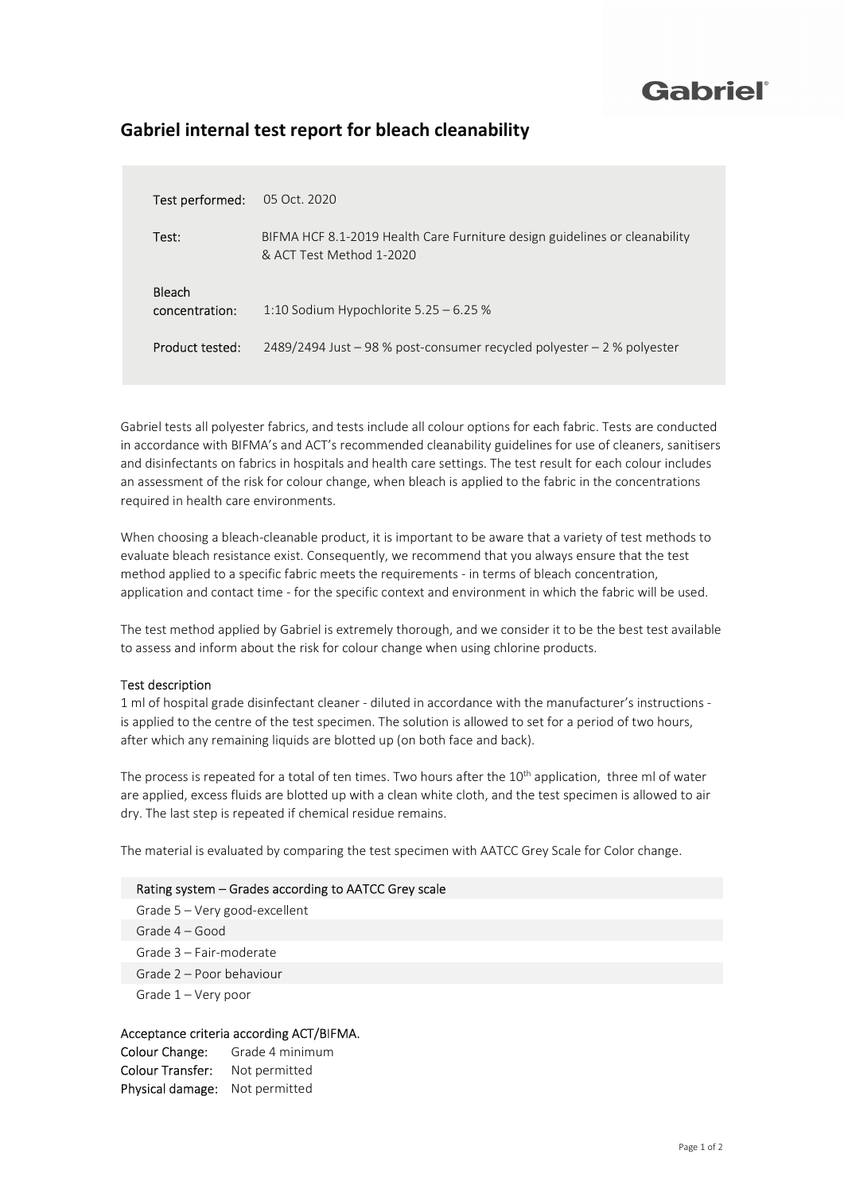## Gabriel®

### Gabriel internal test report for bleach cleanability

| Test performed:          | 05 Oct. 2020                                                                                           |
|--------------------------|--------------------------------------------------------------------------------------------------------|
| Test:                    | BIFMA HCF 8.1-2019 Health Care Furniture design guidelines or cleanability<br>& ACT Test Method 1-2020 |
| Bleach<br>concentration: | 1:10 Sodium Hypochlorite $5.25 - 6.25$ %                                                               |
| Product tested:          | 2489/2494 Just – 98 % post-consumer recycled polyester – 2 % polyester                                 |

Gabriel tests all polyester fabrics, and tests include all colour options for each fabric. Tests are conducted in accordance with BIFMA's and ACT's recommended cleanability guidelines for use of cleaners, sanitisers and disinfectants on fabrics in hospitals and health care settings. The test result for each colour includes an assessment of the risk for colour change, when bleach is applied to the fabric in the concentrations required in health care environments.

When choosing a bleach-cleanable product, it is important to be aware that a variety of test methods to evaluate bleach resistance exist. Consequently, we recommend that you always ensure that the test method applied to a specific fabric meets the requirements - in terms of bleach concentration, application and contact time - for the specific context and environment in which the fabric will be used.

The test method applied by Gabriel is extremely thorough, and we consider it to be the best test available to assess and inform about the risk for colour change when using chlorine products.

#### Test description

1 ml of hospital grade disinfectant cleaner - diluted in accordance with the manufacturer's instructions is applied to the centre of the test specimen. The solution is allowed to set for a period of two hours, after which any remaining liquids are blotted up (on both face and back).

The process is repeated for a total of ten times. Two hours after the 10<sup>th</sup> application, three ml of water are applied, excess fluids are blotted up with a clean white cloth, and the test specimen is allowed to air dry. The last step is repeated if chemical residue remains.

The material is evaluated by comparing the test specimen with AATCC Grey Scale for Color change.

#### Rating system – Grades according to AATCC Grey scale

Grade 5 – Very good-excellent Grade 4 – Good Grade 3 – Fair-moderate Grade 2 – Poor behaviour Grade 1 – Very poor

#### Acceptance criteria according ACT/BIFMA.

Colour Change: Grade 4 minimum Colour Transfer: Not permitted Physical damage: Not permitted